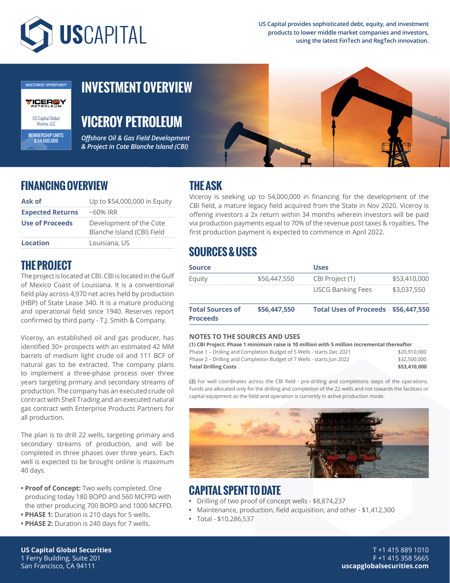

**US Capital provides sophisticated debt, equity, and investment products to lower middle market companies and investors, using the latest FinTech and RegTech innovation.**



MEMBERSHIP UNITS \$ 54,000,000

# **INVESTMENT OVERVIEW**

**VICEROY PETROLEUM**

*Offshore Oil & Gas Field Development & Project in Cote Blanche Island (CBI)*



## **FINANCING OVERVIEW**

| Ask of                  | Up to \$54,000,000 in Equity                          |  |  |  |
|-------------------------|-------------------------------------------------------|--|--|--|
| <b>Expected Returns</b> | $~160\%$ IRR                                          |  |  |  |
| <b>Use of Proceeds</b>  | Development of the Cote<br>Blanche Island (CBI) Field |  |  |  |
| <b>Location</b>         | Louisiana, US                                         |  |  |  |

# **THE ASK**

Viceroy is seeking up to 54,000,000 in financing for the development of the CBI field, a mature legacy field acquired from the State in Nov 2020. Viceroy is offering investors a 2x return within 34 months wherein investors will be paid via production payments equal to 70% of the revenue post taxes & royalties. The first production payment is expected to commence in April 2022.

# **SOURCES & USES**

| <b>Source</b>                              |              | <b>Uses</b>                         |              |
|--------------------------------------------|--------------|-------------------------------------|--------------|
| Equity                                     | \$56,447,550 | CBI Project (1)                     | \$53,410,000 |
|                                            |              | <b>USCG Banking Fees</b>            | \$3,037,550  |
| <b>Total Sources of</b><br><b>Proceeds</b> | \$56,447,550 | Total Uses of Proceeds \$56,447,550 |              |

#### **NOTES TO THE SOURCES AND USES**

#### **(1) CBI Project: Phase 1 minimum raise is 10 million with 5 million incremental thereafter**

| \$53,410,000 |
|--------------|
| \$32,500.000 |
| \$20,910,000 |
|              |

**(2)** For well coordinates across the CBI field - pre-drilling and completions steps of the operations. Funds are allocated only for the drilling and completion of the 22 wells and not towards the facilities or capital equipment as the field and operation is currently in active production mode.



#### **CAPITAL SPENT TO DATE**

- **•** Drilling of two proof of concept wells \$8,874,237
- **•** Maintenance, production, field acquisition, and other \$1,412,300
- **•** Total \$10,286,537

### **THE PROJECT**

The project is located at CBI. CBI is located in the Gulf of Mexico Coast of Louisiana. It is a conventional field play across 4,970 net acres held by production (HBP) of State Lease 340. It is a mature producing and operational field since 1940. Reserves report confirmed by third party - T.J. Smith & Company.

Viceroy, an established oil and gas producer, has identified 30+ prospects with an estimated 42 MM barrels of medium light crude oil and 111 BCF of natural gas to be extracted. The company plans to implement a three-phase process over three years targeting primary and secondary streams of production. The company has an executed crude oil contract with Shell Trading and an executed natural gas contract with Enterprise Products Partners for all production.

The plan is to drill 22 wells, targeting primary and secondary streams of production, and will be completed in three phases over three years. Each well is expected to be brought online is maximum 40 days.

- **Proof of Concept:** Two wells completed. One producing today 180 BOPD and 560 MCFPD with the other producing 700 BOPD and 1000 MCFPD.
- **PHASE 1:** Duration is 210 days for 5 wells.
- **PHASE 2:** Duration is 240 days for 7 wells.

**US Capital Global Securities** 1 Ferry Building, Suite 201 San Francisco, CA 94111

T +1 415 889 1010 F +1 415 358 5665 **uscapglobalsecurities.com**